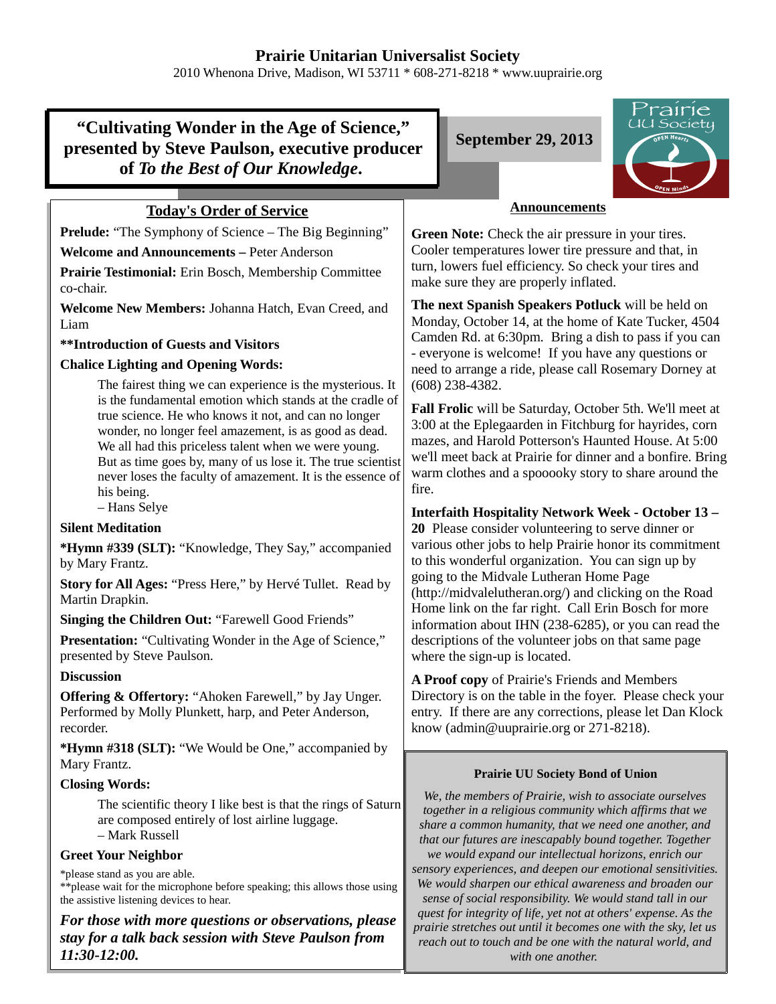## **Prairie Unitarian Universalist Society**

2010 Whenona Drive, Madison, WI 53711 \* 608-271-8218 \* www.uuprairie.org

# **"Cultivating Wonder in the Age of Science," presented by Steve Paulson, executive producer of** *To the Best of Our Knowledge***.**

### **Today's Order of Service**

**Prelude:** "The Symphony of Science – The Big Beginning"

**Welcome and Announcements –** Peter Anderson

**Prairie Testimonial:** Erin Bosch, Membership Committee co-chair.

**Welcome New Members:** Johanna Hatch, Evan Creed, and Liam

**\*\*Introduction of Guests and Visitors**

### **Chalice Lighting and Opening Words:**

The fairest thing we can experience is the mysterious. It is the fundamental emotion which stands at the cradle of true science. He who knows it not, and can no longer wonder, no longer feel amazement, is as good as dead. We all had this priceless talent when we were young. But as time goes by, many of us lose it. The true scientist never loses the faculty of amazement. It is the essence of his being.

– Hans Selye

#### **Silent Meditation**

**\*Hymn #339 (SLT):** "Knowledge, They Say," accompanied by Mary Frantz.

**Story for All Ages:** "Press Here," by Hervé Tullet. Read by Martin Drapkin.

**Singing the Children Out:** "Farewell Good Friends"

**Presentation:** "Cultivating Wonder in the Age of Science," presented by Steve Paulson.

#### **Discussion**

**Offering & Offertory:** "Ahoken Farewell," by Jay Unger. Performed by Molly Plunkett, harp, and Peter Anderson, recorder.

**\*Hymn #318 (SLT):** "We Would be One," accompanied by Mary Frantz.

#### **Closing Words:**

The scientific theory I like best is that the rings of Saturn are composed entirely of lost airline luggage. – Mark Russell

#### **Greet Your Neighbor**

\*please stand as you are able.

\*\*please wait for the microphone before speaking; this allows those using the assistive listening devices to hear.

*For those with more questions or observations, please stay for a talk back session with Steve Paulson from 11:30-12:00.*

**September 29, 2013**



### **Announcements**

**Green Note:** Check the air pressure in your tires. Cooler temperatures lower tire pressure and that, in turn, lowers fuel efficiency. So check your tires and make sure they are properly inflated.

**The next Spanish Speakers Potluck** will be held on Monday, October 14, at the home of Kate Tucker, 4504 Camden Rd. at 6:30pm. Bring a dish to pass if you can - everyone is welcome! If you have any questions or need to arrange a ride, please call Rosemary Dorney at (608) 238-4382.

**Fall Frolic** will be Saturday, October 5th. We'll meet at 3:00 at the Eplegaarden in Fitchburg for hayrides, corn mazes, and Harold Potterson's Haunted House. At 5:00 we'll meet back at Prairie for dinner and a bonfire. Bring warm clothes and a spooooky story to share around the fire.

**Interfaith Hospitality Network Week - October 13 –**

**20** Please consider volunteering to serve dinner or various other jobs to help Prairie honor its commitment to this wonderful organization. You can sign up by going to the Midvale Lutheran Home Page (http://midvalelutheran.org/) and clicking on the Road Home link on the far right. Call Erin Bosch for more information about IHN (238-6285), or you can read the descriptions of the volunteer jobs on that same page where the sign-up is located.

**A Proof copy** of Prairie's Friends and Members Directory is on the table in the foyer. Please check your entry. If there are any corrections, please let Dan Klock know (admin@uuprairie.org or 271-8218).

#### **Prairie UU Society Bond of Union**

*We, the members of Prairie, wish to associate ourselves together in a religious community which affirms that we share a common humanity, that we need one another, and that our futures are inescapably bound together. Together we would expand our intellectual horizons, enrich our sensory experiences, and deepen our emotional sensitivities. We would sharpen our ethical awareness and broaden our sense of social responsibility. We would stand tall in our quest for integrity of life, yet not at others' expense. As the prairie stretches out until it becomes one with the sky, let us reach out to touch and be one with the natural world, and with one another.*